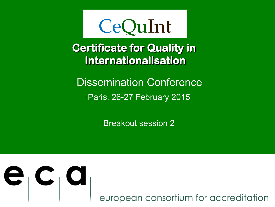

**Certificate for Quality in Internationalisation** 

•Dissemination Conference •Paris, 26-27 February 2015

•Breakout session 2



european consortium for accreditation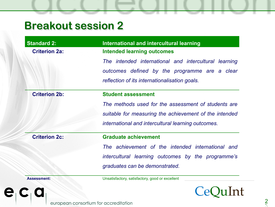| <b>Standard 2:</b>   | International and intercultural learning               |
|----------------------|--------------------------------------------------------|
| <b>Criterion 2a:</b> | <b>Intended learning outcomes</b>                      |
|                      | The intended international and intercultural learning  |
|                      | outcomes defined by the programme are a clear          |
|                      | reflection of its internationalisation goals.          |
| <b>Criterion 2b:</b> | <b>Student assessment</b>                              |
|                      | The methods used for the assessment of students are    |
|                      | suitable for measuring the achievement of the intended |
|                      | international and intercultural learning outcomes.     |
| <b>Criterion 2c:</b> | <b>Graduate achievement</b>                            |
|                      | The achievement of the intended international and      |
|                      | intercultural learning outcomes by the programme's     |
|                      | graduates can be demonstrated.                         |
| <b>Assessment:</b>   | Unsatisfactory, satisfactory, good or excellent        |
|                      |                                                        |

european consortium for accreditation

e.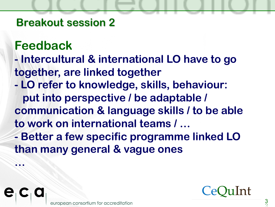# **Feedback**

**…** 

- **Intercultural & international LO have to go together, are linked together**
- **LO refer to knowledge, skills, behaviour: put into perspective / be adaptable / communication & language skills / to be able to work on international teams / …**
- **Better a few specific programme linked LO than many general & vague ones**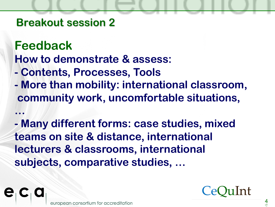**…** 

**Feedback How to demonstrate & assess:** 

- **Contents, Processes, Tools**
- **More than mobility: international classroom, community work, uncomfortable situations,**

**- Many different forms: case studies, mixed teams on site & distance, international lecturers & classrooms, international subjects, comparative studies, …**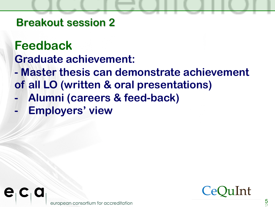## **Feedback Graduate achievement:**

- **Master thesis can demonstrate achievement of all LO (written & oral presentations)**
- **- Alumni (careers & feed-back)**
- **- Employers' view**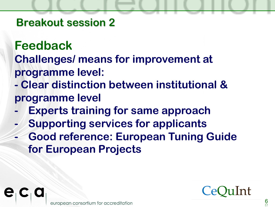**Feedback Challenges/ means for improvement at programme level:** 

- **Clear distinction between institutional & programme level**
- **- Experts training for same approach**
- **- Supporting services for applicants**
- **- Good reference: European Tuning Guide for European Projects**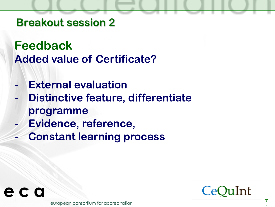**Feedback Added value of Certificate?** 

- **- External evaluation**
- **- Distinctive feature, differentiate programme**
- **- Evidence, reference,**
- **- Constant learning process**

consortium for accreditation